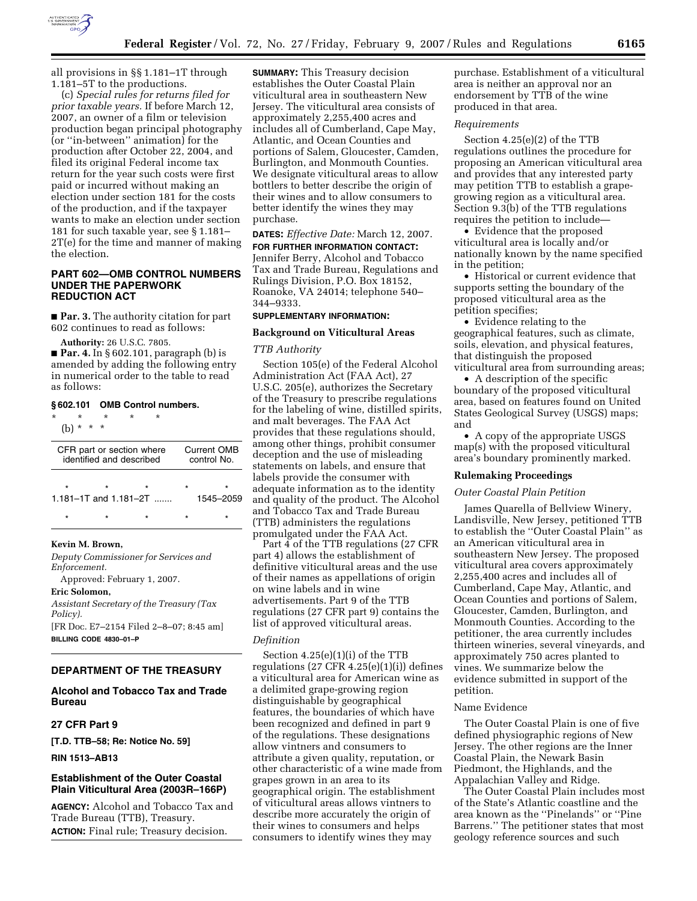

all provisions in §§ 1.181–1T through 1.181–5T to the productions.

(c) *Special rules for returns filed for prior taxable years.* If before March 12, 2007, an owner of a film or television production began principal photography (or ''in-between'' animation) for the production after October 22, 2004, and filed its original Federal income tax return for the year such costs were first paid or incurred without making an election under section 181 for the costs of the production, and if the taxpayer wants to make an election under section 181 for such taxable year, see § 1.181– 2T(e) for the time and manner of making the election.

# **PART 602—OMB CONTROL NUMBERS UNDER THE PAPERWORK REDUCTION ACT**

■ **Par. 3.** The authority citation for part 602 continues to read as follows:

**Authority:** 26 U.S.C. 7805.

■ **Par. 4.** In § 602.101, paragraph (b) is amended by adding the following entry in numerical order to the table to read as follows:

#### **§ 602.101 OMB Control numbers.**

| ÷<br>$\star$<br>l b                                   | $\star$<br>$\star$<br>$\star$ | ÷       | ÷ |                                   |                |
|-------------------------------------------------------|-------------------------------|---------|---|-----------------------------------|----------------|
| CFR part or section where<br>identified and described |                               |         |   | <b>Current OMB</b><br>control No. |                |
| $\star$<br>1.181-1T and $1.181 - 2T$                  |                               | $\star$ |   | $\star$                           | ÷<br>1545–2059 |
| $\star$                                               |                               |         |   | $\star$                           |                |

### **Kevin M. Brown,**

*Deputy Commissioner for Services and Enforcement.* 

Approved: February 1, 2007.

# **Eric Solomon,**

*Assistant Secretary of the Treasury (Tax Policy).* 

[FR Doc. E7–2154 Filed 2–8–07; 8:45 am] **BILLING CODE 4830–01–P** 

# **DEPARTMENT OF THE TREASURY**

**Alcohol and Tobacco Tax and Trade Bureau** 

# **27 CFR Part 9**

**[T.D. TTB–58; Re: Notice No. 59]** 

**RIN 1513–AB13** 

# **Establishment of the Outer Coastal Plain Viticultural Area (2003R–166P)**

**AGENCY:** Alcohol and Tobacco Tax and Trade Bureau (TTB), Treasury. **ACTION:** Final rule; Treasury decision.

**SUMMARY:** This Treasury decision establishes the Outer Coastal Plain viticultural area in southeastern New Jersey. The viticultural area consists of approximately 2,255,400 acres and includes all of Cumberland, Cape May, Atlantic, and Ocean Counties and portions of Salem, Gloucester, Camden, Burlington, and Monmouth Counties. We designate viticultural areas to allow bottlers to better describe the origin of their wines and to allow consumers to better identify the wines they may purchase.

**DATES:** *Effective Date:* March 12, 2007. **FOR FURTHER INFORMATION CONTACT:** 

Jennifer Berry, Alcohol and Tobacco Tax and Trade Bureau, Regulations and Rulings Division, P.O. Box 18152, Roanoke, VA 24014; telephone 540– 344–9333.

# **SUPPLEMENTARY INFORMATION:**

#### **Background on Viticultural Areas**

#### *TTB Authority*

Section 105(e) of the Federal Alcohol Administration Act (FAA Act), 27 U.S.C. 205(e), authorizes the Secretary of the Treasury to prescribe regulations for the labeling of wine, distilled spirits, and malt beverages. The FAA Act provides that these regulations should, among other things, prohibit consumer deception and the use of misleading statements on labels, and ensure that labels provide the consumer with adequate information as to the identity and quality of the product. The Alcohol and Tobacco Tax and Trade Bureau (TTB) administers the regulations promulgated under the FAA Act.

Part 4 of the TTB regulations (27 CFR part 4) allows the establishment of definitive viticultural areas and the use of their names as appellations of origin on wine labels and in wine advertisements. Part 9 of the TTB regulations (27 CFR part 9) contains the list of approved viticultural areas.

### *Definition*

Section 4.25(e)(1)(i) of the TTB regulations  $(27 \text{ CFR } 4.25(e)(1)(i))$  defines a viticultural area for American wine as a delimited grape-growing region distinguishable by geographical features, the boundaries of which have been recognized and defined in part 9 of the regulations. These designations allow vintners and consumers to attribute a given quality, reputation, or other characteristic of a wine made from grapes grown in an area to its geographical origin. The establishment of viticultural areas allows vintners to describe more accurately the origin of their wines to consumers and helps consumers to identify wines they may

purchase. Establishment of a viticultural area is neither an approval nor an endorsement by TTB of the wine produced in that area.

#### *Requirements*

Section 4.25(e)(2) of the TTB regulations outlines the procedure for proposing an American viticultural area and provides that any interested party may petition TTB to establish a grapegrowing region as a viticultural area. Section 9.3(b) of the TTB regulations requires the petition to include—

• Evidence that the proposed viticultural area is locally and/or nationally known by the name specified in the petition;

• Historical or current evidence that supports setting the boundary of the proposed viticultural area as the petition specifies;

• Evidence relating to the geographical features, such as climate, soils, elevation, and physical features, that distinguish the proposed viticultural area from surrounding areas;

• A description of the specific boundary of the proposed viticultural area, based on features found on United States Geological Survey (USGS) maps; and

• A copy of the appropriate USGS map(s) with the proposed viticultural area's boundary prominently marked.

#### **Rulemaking Proceedings**

#### *Outer Coastal Plain Petition*

James Quarella of Bellview Winery, Landisville, New Jersey, petitioned TTB to establish the ''Outer Coastal Plain'' as an American viticultural area in southeastern New Jersey. The proposed viticultural area covers approximately 2,255,400 acres and includes all of Cumberland, Cape May, Atlantic, and Ocean Counties and portions of Salem, Gloucester, Camden, Burlington, and Monmouth Counties. According to the petitioner, the area currently includes thirteen wineries, several vineyards, and approximately 750 acres planted to vines. We summarize below the evidence submitted in support of the petition.

# Name Evidence

The Outer Coastal Plain is one of five defined physiographic regions of New Jersey. The other regions are the Inner Coastal Plain, the Newark Basin Piedmont, the Highlands, and the Appalachian Valley and Ridge.

The Outer Coastal Plain includes most of the State's Atlantic coastline and the area known as the ''Pinelands'' or ''Pine Barrens.'' The petitioner states that most geology reference sources and such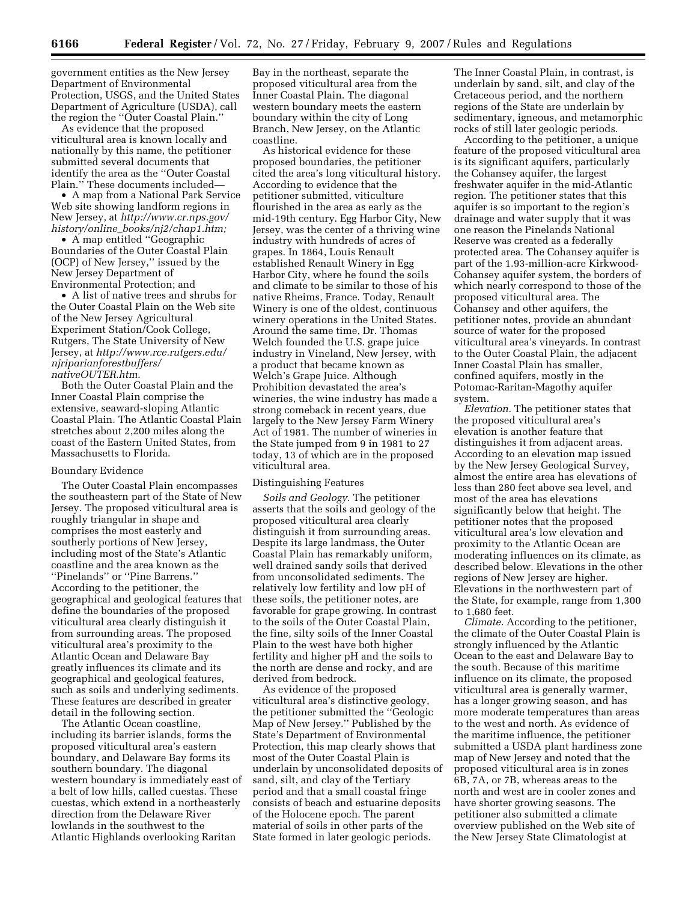government entities as the New Jersey Department of Environmental Protection, USGS, and the United States Department of Agriculture (USDA), call the region the ''Outer Coastal Plain.''

As evidence that the proposed viticultural area is known locally and nationally by this name, the petitioner submitted several documents that identify the area as the ''Outer Coastal Plain.'' These documents included—

• A map from a National Park Service Web site showing landform regions in New Jersey, at *http://www.cr.nps.gov/ history/online*\_*books/nj2/chap1.htm;* 

• A map entitled "Geographic Boundaries of the Outer Coastal Plain (OCP) of New Jersey,'' issued by the New Jersey Department of Environmental Protection; and

• A list of native trees and shrubs for the Outer Coastal Plain on the Web site of the New Jersey Agricultural Experiment Station/Cook College, Rutgers, The State University of New Jersey, at *http://www.rce.rutgers.edu/ njriparianforestbuffers/ nativeOUTER.htm.* 

Both the Outer Coastal Plain and the Inner Coastal Plain comprise the extensive, seaward-sloping Atlantic Coastal Plain. The Atlantic Coastal Plain stretches about 2,200 miles along the coast of the Eastern United States, from Massachusetts to Florida.

#### Boundary Evidence

The Outer Coastal Plain encompasses the southeastern part of the State of New Jersey. The proposed viticultural area is roughly triangular in shape and comprises the most easterly and southerly portions of New Jersey, including most of the State's Atlantic coastline and the area known as the ''Pinelands'' or ''Pine Barrens.'' According to the petitioner, the geographical and geological features that define the boundaries of the proposed viticultural area clearly distinguish it from surrounding areas. The proposed viticultural area's proximity to the Atlantic Ocean and Delaware Bay greatly influences its climate and its geographical and geological features, such as soils and underlying sediments. These features are described in greater detail in the following section.

The Atlantic Ocean coastline, including its barrier islands, forms the proposed viticultural area's eastern boundary, and Delaware Bay forms its southern boundary. The diagonal western boundary is immediately east of a belt of low hills, called cuestas. These cuestas, which extend in a northeasterly direction from the Delaware River lowlands in the southwest to the Atlantic Highlands overlooking Raritan

Bay in the northeast, separate the proposed viticultural area from the Inner Coastal Plain. The diagonal western boundary meets the eastern boundary within the city of Long Branch, New Jersey, on the Atlantic coastline.

As historical evidence for these proposed boundaries, the petitioner cited the area's long viticultural history. According to evidence that the petitioner submitted, viticulture flourished in the area as early as the mid-19th century. Egg Harbor City, New Jersey, was the center of a thriving wine industry with hundreds of acres of grapes. In 1864, Louis Renault established Renault Winery in Egg Harbor City, where he found the soils and climate to be similar to those of his native Rheims, France. Today, Renault Winery is one of the oldest, continuous winery operations in the United States. Around the same time, Dr. Thomas Welch founded the U.S. grape juice industry in Vineland, New Jersey, with a product that became known as Welch's Grape Juice. Although Prohibition devastated the area's wineries, the wine industry has made a strong comeback in recent years, due largely to the New Jersey Farm Winery Act of 1981. The number of wineries in the State jumped from 9 in 1981 to 27 today, 13 of which are in the proposed viticultural area.

#### Distinguishing Features

*Soils and Geology.* The petitioner asserts that the soils and geology of the proposed viticultural area clearly distinguish it from surrounding areas. Despite its large landmass, the Outer Coastal Plain has remarkably uniform, well drained sandy soils that derived from unconsolidated sediments. The relatively low fertility and low pH of these soils, the petitioner notes, are favorable for grape growing. In contrast to the soils of the Outer Coastal Plain, the fine, silty soils of the Inner Coastal Plain to the west have both higher fertility and higher pH and the soils to the north are dense and rocky, and are derived from bedrock.

As evidence of the proposed viticultural area's distinctive geology, the petitioner submitted the ''Geologic Map of New Jersey.'' Published by the State's Department of Environmental Protection, this map clearly shows that most of the Outer Coastal Plain is underlain by unconsolidated deposits of sand, silt, and clay of the Tertiary period and that a small coastal fringe consists of beach and estuarine deposits of the Holocene epoch. The parent material of soils in other parts of the State formed in later geologic periods.

The Inner Coastal Plain, in contrast, is underlain by sand, silt, and clay of the Cretaceous period, and the northern regions of the State are underlain by sedimentary, igneous, and metamorphic rocks of still later geologic periods.

According to the petitioner, a unique feature of the proposed viticultural area is its significant aquifers, particularly the Cohansey aquifer, the largest freshwater aquifer in the mid-Atlantic region. The petitioner states that this aquifer is so important to the region's drainage and water supply that it was one reason the Pinelands National Reserve was created as a federally protected area. The Cohansey aquifer is part of the 1.93-million-acre Kirkwood-Cohansey aquifer system, the borders of which nearly correspond to those of the proposed viticultural area. The Cohansey and other aquifers, the petitioner notes, provide an abundant source of water for the proposed viticultural area's vineyards. In contrast to the Outer Coastal Plain, the adjacent Inner Coastal Plain has smaller, confined aquifers, mostly in the Potomac-Raritan-Magothy aquifer system.

*Elevation.* The petitioner states that the proposed viticultural area's elevation is another feature that distinguishes it from adjacent areas. According to an elevation map issued by the New Jersey Geological Survey, almost the entire area has elevations of less than 280 feet above sea level, and most of the area has elevations significantly below that height. The petitioner notes that the proposed viticultural area's low elevation and proximity to the Atlantic Ocean are moderating influences on its climate, as described below. Elevations in the other regions of New Jersey are higher. Elevations in the northwestern part of the State, for example, range from 1,300 to 1,680 feet.

*Climate.* According to the petitioner, the climate of the Outer Coastal Plain is strongly influenced by the Atlantic Ocean to the east and Delaware Bay to the south. Because of this maritime influence on its climate, the proposed viticultural area is generally warmer, has a longer growing season, and has more moderate temperatures than areas to the west and north. As evidence of the maritime influence, the petitioner submitted a USDA plant hardiness zone map of New Jersey and noted that the proposed viticultural area is in zones 6B, 7A, or 7B, whereas areas to the north and west are in cooler zones and have shorter growing seasons. The petitioner also submitted a climate overview published on the Web site of the New Jersey State Climatologist at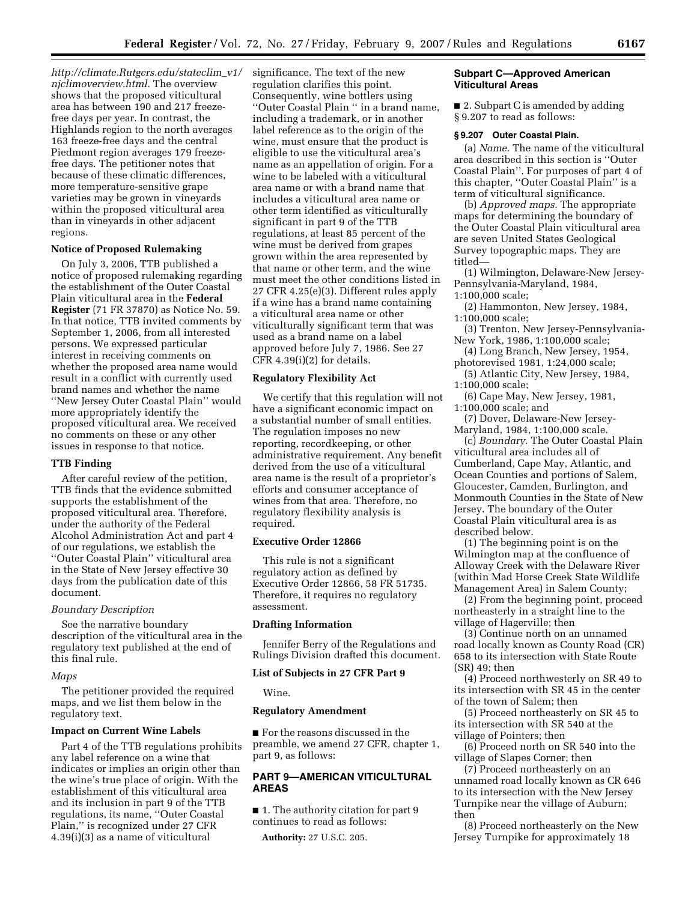*http://climate.Rutgers.edu/stateclim*\_*v1/ njclimoverview.html.* The overview shows that the proposed viticultural area has between 190 and 217 freezefree days per year. In contrast, the Highlands region to the north averages 163 freeze-free days and the central Piedmont region averages 179 freezefree days. The petitioner notes that because of these climatic differences, more temperature-sensitive grape varieties may be grown in vineyards within the proposed viticultural area than in vineyards in other adjacent regions.

# **Notice of Proposed Rulemaking**

On July 3, 2006, TTB published a notice of proposed rulemaking regarding the establishment of the Outer Coastal Plain viticultural area in the **Federal Register** (71 FR 37870) as Notice No. 59. In that notice, TTB invited comments by September 1, 2006, from all interested persons. We expressed particular interest in receiving comments on whether the proposed area name would result in a conflict with currently used brand names and whether the name ''New Jersey Outer Coastal Plain'' would more appropriately identify the proposed viticultural area. We received no comments on these or any other issues in response to that notice.

# **TTB Finding**

After careful review of the petition, TTB finds that the evidence submitted supports the establishment of the proposed viticultural area. Therefore, under the authority of the Federal Alcohol Administration Act and part 4 of our regulations, we establish the ''Outer Coastal Plain'' viticultural area in the State of New Jersey effective 30 days from the publication date of this document.

### *Boundary Description*

See the narrative boundary description of the viticultural area in the regulatory text published at the end of this final rule.

## *Maps*

The petitioner provided the required maps, and we list them below in the regulatory text.

#### **Impact on Current Wine Labels**

Part 4 of the TTB regulations prohibits any label reference on a wine that indicates or implies an origin other than the wine's true place of origin. With the establishment of this viticultural area and its inclusion in part 9 of the TTB regulations, its name, ''Outer Coastal Plain,'' is recognized under 27 CFR 4.39(i)(3) as a name of viticultural

significance. The text of the new regulation clarifies this point. Consequently, wine bottlers using ''Outer Coastal Plain '' in a brand name, including a trademark, or in another label reference as to the origin of the wine, must ensure that the product is eligible to use the viticultural area's name as an appellation of origin. For a wine to be labeled with a viticultural area name or with a brand name that includes a viticultural area name or other term identified as viticulturally significant in part 9 of the TTB regulations, at least 85 percent of the wine must be derived from grapes grown within the area represented by that name or other term, and the wine must meet the other conditions listed in 27 CFR 4.25(e)(3). Different rules apply if a wine has a brand name containing a viticultural area name or other viticulturally significant term that was used as a brand name on a label approved before July 7, 1986. See 27 CFR  $4.39(i)(2)$  for details.

# **Regulatory Flexibility Act**

We certify that this regulation will not have a significant economic impact on a substantial number of small entities. The regulation imposes no new reporting, recordkeeping, or other administrative requirement. Any benefit derived from the use of a viticultural area name is the result of a proprietor's efforts and consumer acceptance of wines from that area. Therefore, no regulatory flexibility analysis is required.

### **Executive Order 12866**

This rule is not a significant regulatory action as defined by Executive Order 12866, 58 FR 51735. Therefore, it requires no regulatory assessment.

# **Drafting Information**

Jennifer Berry of the Regulations and Rulings Division drafted this document.

#### **List of Subjects in 27 CFR Part 9**

Wine.

# **Regulatory Amendment**

■ For the reasons discussed in the preamble, we amend 27 CFR, chapter 1, part 9, as follows:

# **PART 9—AMERICAN VITICULTURAL AREAS**

■ 1. The authority citation for part 9 continues to read as follows:

**Authority:** 27 U.S.C. 205.

### **Subpart C—Approved American Viticultural Areas**

■ 2. Subpart C is amended by adding § 9.207 to read as follows:

#### **§ 9.207 Outer Coastal Plain.**

(a) *Name.* The name of the viticultural area described in this section is ''Outer Coastal Plain''. For purposes of part 4 of this chapter, ''Outer Coastal Plain'' is a term of viticultural significance.

(b) *Approved maps.* The appropriate maps for determining the boundary of the Outer Coastal Plain viticultural area are seven United States Geological Survey topographic maps. They are titled—

(1) Wilmington, Delaware-New Jersey-Pennsylvania-Maryland, 1984, 1:100,000 scale;

(2) Hammonton, New Jersey, 1984, 1:100,000 scale;

(3) Trenton, New Jersey-Pennsylvania-New York, 1986, 1:100,000 scale;

(4) Long Branch, New Jersey, 1954, photorevised 1981, 1:24,000 scale;

(5) Atlantic City, New Jersey, 1984, 1:100,000 scale;

(6) Cape May, New Jersey, 1981, 1:100,000 scale; and

(7) Dover, Delaware-New Jersey-Maryland, 1984, 1:100,000 scale.

(c) *Boundary.* The Outer Coastal Plain viticultural area includes all of Cumberland, Cape May, Atlantic, and Ocean Counties and portions of Salem, Gloucester, Camden, Burlington, and Monmouth Counties in the State of New Jersey. The boundary of the Outer Coastal Plain viticultural area is as described below.

(1) The beginning point is on the Wilmington map at the confluence of Alloway Creek with the Delaware River (within Mad Horse Creek State Wildlife Management Area) in Salem County;

(2) From the beginning point, proceed northeasterly in a straight line to the village of Hagerville; then

(3) Continue north on an unnamed road locally known as County Road (CR) 658 to its intersection with State Route (SR) 49; then

(4) Proceed northwesterly on SR 49 to its intersection with SR 45 in the center of the town of Salem; then

(5) Proceed northeasterly on SR 45 to its intersection with SR 540 at the village of Pointers; then

(6) Proceed north on SR 540 into the village of Slapes Corner; then

(7) Proceed northeasterly on an unnamed road locally known as CR 646 to its intersection with the New Jersey Turnpike near the village of Auburn; then

(8) Proceed northeasterly on the New Jersey Turnpike for approximately 18